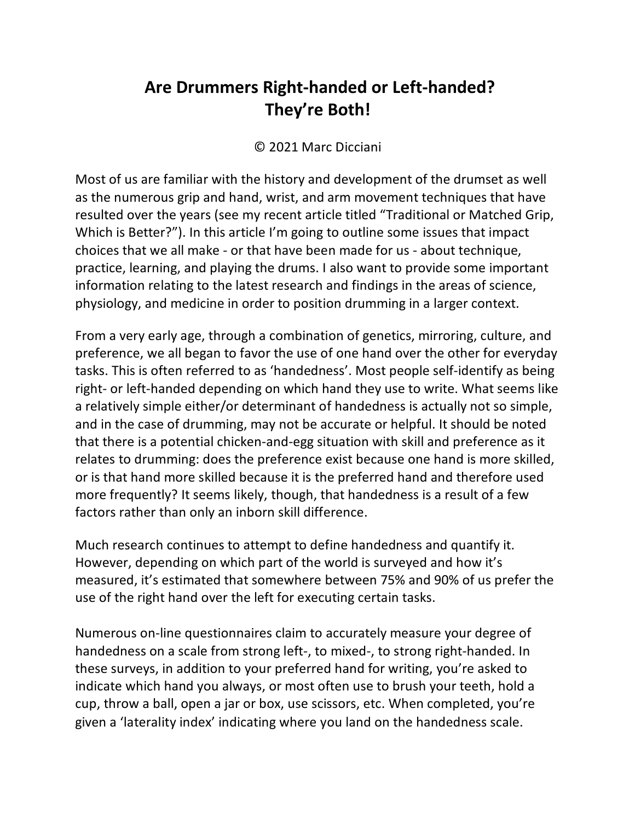## **Are Drummers Right-handed or Left-handed? They're Both!**

## © 2021 Marc Dicciani

Most of us are familiar with the history and development of the drumset as well as the numerous grip and hand, wrist, and arm movement techniques that have resulted over the years (see my recent article titled "Traditional or Matched Grip, Which is Better?"). In this article I'm going to outline some issues that impact choices that we all make - or that have been made for us - about technique, practice, learning, and playing the drums. I also want to provide some important information relating to the latest research and findings in the areas of science, physiology, and medicine in order to position drumming in a larger context.

From a very early age, through a combination of genetics, mirroring, culture, and preference, we all began to favor the use of one hand over the other for everyday tasks. This is often referred to as 'handedness'. Most people self-identify as being right- or left-handed depending on which hand they use to write. What seems like a relatively simple either/or determinant of handedness is actually not so simple, and in the case of drumming, may not be accurate or helpful. It should be noted that there is a potential chicken-and-egg situation with skill and preference as it relates to drumming: does the preference exist because one hand is more skilled, or is that hand more skilled because it is the preferred hand and therefore used more frequently? It seems likely, though, that handedness is a result of a few factors rather than only an inborn skill difference.

Much research continues to attempt to define handedness and quantify it. However, depending on which part of the world is surveyed and how it's measured, it's estimated that somewhere between 75% and 90% of us prefer the use of the right hand over the left for executing certain tasks.

Numerous on-line questionnaires claim to accurately measure your degree of handedness on a scale from strong left-, to mixed-, to strong right-handed. In these surveys, in addition to your preferred hand for writing, you're asked to indicate which hand you always, or most often use to brush your teeth, hold a cup, throw a ball, open a jar or box, use scissors, etc. When completed, you're given a 'laterality index' indicating where you land on the handedness scale.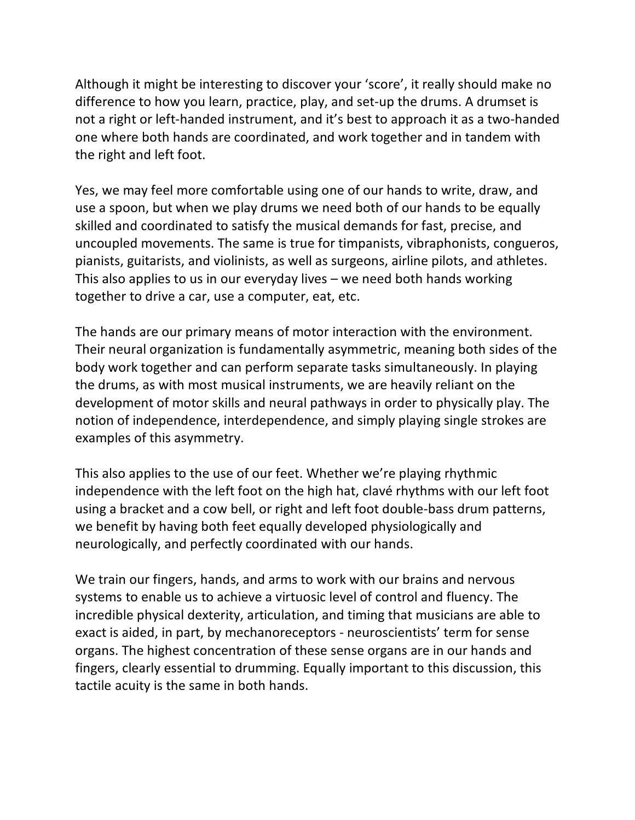Although it might be interesting to discover your 'score', it really should make no difference to how you learn, practice, play, and set-up the drums. A drumset is not a right or left-handed instrument, and it's best to approach it as a two-handed one where both hands are coordinated, and work together and in tandem with the right and left foot.

Yes, we may feel more comfortable using one of our hands to write, draw, and use a spoon, but when we play drums we need both of our hands to be equally skilled and coordinated to satisfy the musical demands for fast, precise, and uncoupled movements. The same is true for timpanists, vibraphonists, congueros, pianists, guitarists, and violinists, as well as surgeons, airline pilots, and athletes. This also applies to us in our everyday lives – we need both hands working together to drive a car, use a computer, eat, etc.

The hands are our primary means of motor interaction with the environment. Their neural organization is fundamentally asymmetric, meaning both sides of the body work together and can perform separate tasks simultaneously. In playing the drums, as with most musical instruments, we are heavily reliant on the development of motor skills and neural pathways in order to physically play. The notion of independence, interdependence, and simply playing single strokes are examples of this asymmetry.

This also applies to the use of our feet. Whether we're playing rhythmic independence with the left foot on the high hat, clavé rhythms with our left foot using a bracket and a cow bell, or right and left foot double-bass drum patterns, we benefit by having both feet equally developed physiologically and neurologically, and perfectly coordinated with our hands.

We train our fingers, hands, and arms to work with our brains and nervous systems to enable us to achieve a virtuosic level of control and fluency. The incredible physical dexterity, articulation, and timing that musicians are able to exact is aided, in part, by mechanoreceptors - neuroscientists' term for sense organs. The highest concentration of these sense organs are in our hands and fingers, clearly essential to drumming. Equally important to this discussion, this tactile acuity is the same in both hands.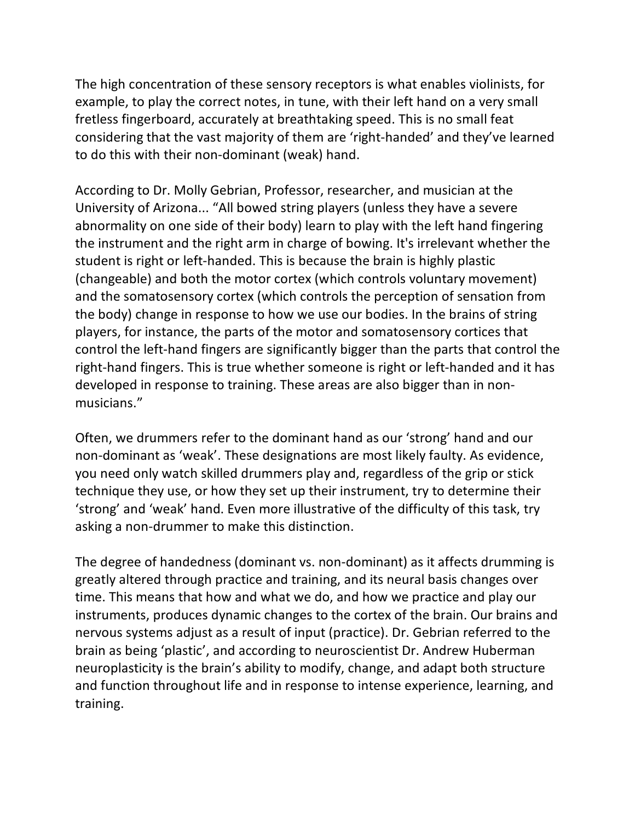The high concentration of these sensory receptors is what enables violinists, for example, to play the correct notes, in tune, with their left hand on a very small fretless fingerboard, accurately at breathtaking speed. This is no small feat considering that the vast majority of them are 'right-handed' and they've learned to do this with their non-dominant (weak) hand.

According to Dr. Molly Gebrian, Professor, researcher, and musician at the University of Arizona... "All bowed string players (unless they have a severe abnormality on one side of their body) learn to play with the left hand fingering the instrument and the right arm in charge of bowing. It's irrelevant whether the student is right or left-handed. This is because the brain is highly plastic (changeable) and both the motor cortex (which controls voluntary movement) and the somatosensory cortex (which controls the perception of sensation from the body) change in response to how we use our bodies. In the brains of string players, for instance, the parts of the motor and somatosensory cortices that control the left-hand fingers are significantly bigger than the parts that control the right-hand fingers. This is true whether someone is right or left-handed and it has developed in response to training. These areas are also bigger than in nonmusicians."

Often, we drummers refer to the dominant hand as our 'strong' hand and our non-dominant as 'weak'. These designations are most likely faulty. As evidence, you need only watch skilled drummers play and, regardless of the grip or stick technique they use, or how they set up their instrument, try to determine their 'strong' and 'weak' hand. Even more illustrative of the difficulty of this task, try asking a non-drummer to make this distinction.

The degree of handedness (dominant vs. non-dominant) as it affects drumming is greatly altered through practice and training, and its neural basis changes over time. This means that how and what we do, and how we practice and play our instruments, produces dynamic changes to the cortex of the brain. Our brains and nervous systems adjust as a result of input (practice). Dr. Gebrian referred to the brain as being 'plastic', and according to neuroscientist Dr. Andrew Huberman neuroplasticity is the brain's ability to modify, change, and adapt both structure and function throughout life and in response to intense experience, learning, and training.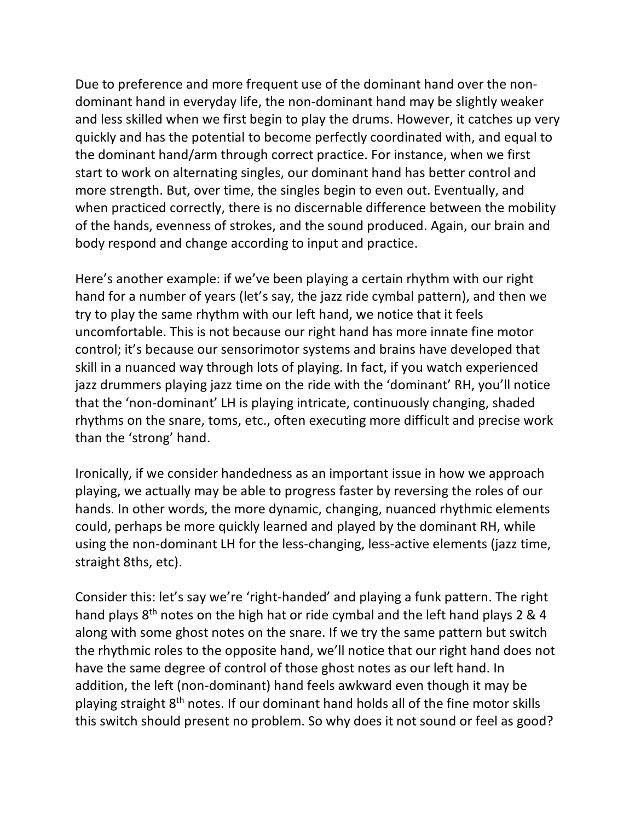Due to preference and more frequent use of the dominant hand over the nondominant hand in everyday life, the non-dominant hand may be slightly weaker and less skilled when we first begin to play the drums. However, it catches up very quickly and has the potential to become perfectly coordinated with, and equal to the dominant hand/arm through correct practice. For instance, when we first start to work on alternating singles, our dominant hand has better control and more strength. But, over time, the singles begin to even out. Eventually, and when practiced correctly, there is no discernable difference between the mobility of the hands, evenness of strokes, and the sound produced. Again, our brain and body respond and change according to input and practice.

Here's another example: if we've been playing a certain rhythm with our right hand for a number of years (let's say, the jazz ride cymbal pattern), and then we try to play the same rhythm with our left hand, we notice that it feels uncomfortable. This is not because our right hand has more innate fine motor control; it's because our sensorimotor systems and brains have developed that skill in a nuanced way through lots of playing. In fact, if you watch experienced jazz drummers playing jazz time on the ride with the 'dominant' RH, you'll notice that the 'non-dominant' LH is playing intricate, continuously changing, shaded rhythms on the snare, toms, etc., often executing more difficult and precise work than the 'strong' hand.

Ironically, if we consider handedness as an important issue in how we approach playing, we actually may be able to progress faster by reversing the roles of our hands. In other words, the more dynamic, changing, nuanced rhythmic elements could, perhaps be more quickly learned and played by the dominant RH, while using the non-dominant LH for the less-changing, less-active elements (jazz time, straight 8ths, etc).

Consider this: let's say we're 'right-handed' and playing a funk pattern. The right hand plays  $8<sup>th</sup>$  notes on the high hat or ride cymbal and the left hand plays 2 & 4 along with some ghost notes on the snare. If we try the same pattern but switch the rhythmic roles to the opposite hand, we'll notice that our right hand does not have the same degree of control of those ghost notes as our left hand. In addition, the left (non-dominant) hand feels awkward even though it may be playing straight 8th notes. If our dominant hand holds all of the fine motor skills this switch should present no problem. So why does it not sound or feel as good?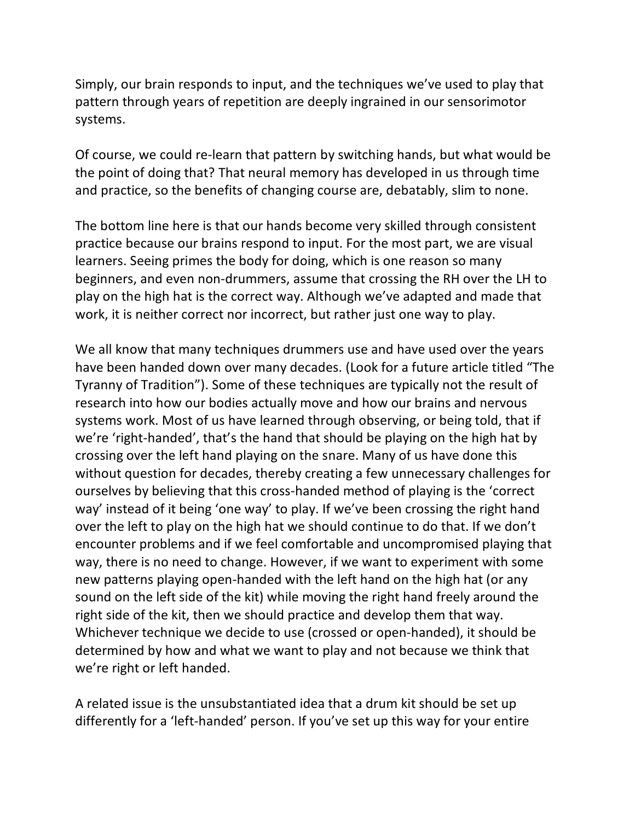Simply, our brain responds to input, and the techniques we've used to play that pattern through years of repetition are deeply ingrained in our sensorimotor systems.

Of course, we could re-learn that pattern by switching hands, but what would be the point of doing that? That neural memory has developed in us through time and practice, so the benefits of changing course are, debatably, slim to none.

The bottom line here is that our hands become very skilled through consistent practice because our brains respond to input. For the most part, we are visual learners. Seeing primes the body for doing, which is one reason so many beginners, and even non-drummers, assume that crossing the RH over the LH to play on the high hat is the correct way. Although we've adapted and made that work, it is neither correct nor incorrect, but rather just one way to play.

We all know that many techniques drummers use and have used over the years have been handed down over many decades. (Look for a future article titled "The Tyranny of Tradition"). Some of these techniques are typically not the result of research into how our bodies actually move and how our brains and nervous systems work. Most of us have learned through observing, or being told, that if we're 'right-handed', that's the hand that should be playing on the high hat by crossing over the left hand playing on the snare. Many of us have done this without question for decades, thereby creating a few unnecessary challenges for ourselves by believing that this cross-handed method of playing is the 'correct way' instead of it being 'one way' to play. If we've been crossing the right hand over the left to play on the high hat we should continue to do that. If we don't encounter problems and if we feel comfortable and uncompromised playing that way, there is no need to change. However, if we want to experiment with some new patterns playing open-handed with the left hand on the high hat (or any sound on the left side of the kit) while moving the right hand freely around the right side of the kit, then we should practice and develop them that way. Whichever technique we decide to use (crossed or open-handed), it should be determined by how and what we want to play and not because we think that we're right or left handed.

A related issue is the unsubstantiated idea that a drum kit should be set up differently for a 'left-handed' person. If you've set up this way for your entire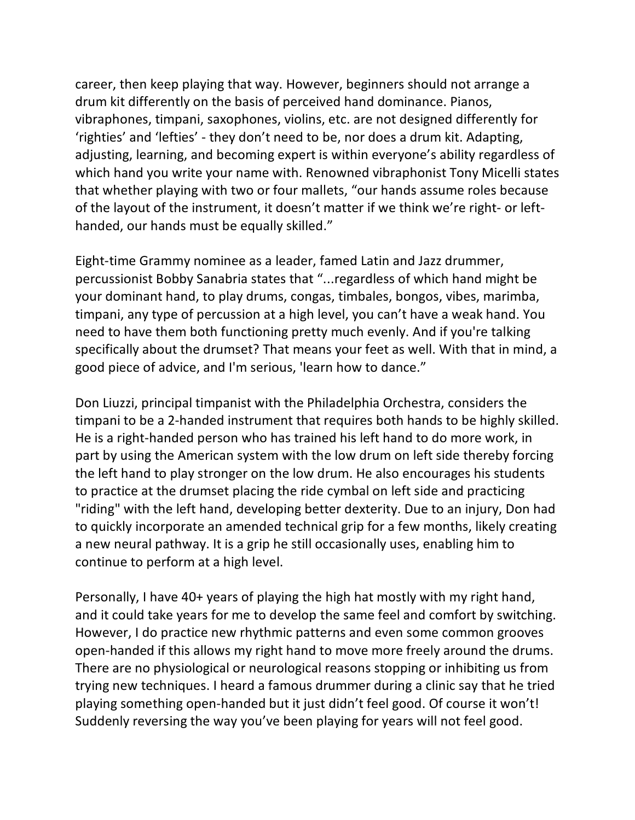career, then keep playing that way. However, beginners should not arrange a drum kit differently on the basis of perceived hand dominance. Pianos, vibraphones, timpani, saxophones, violins, etc. are not designed differently for 'righties' and 'lefties' - they don't need to be, nor does a drum kit. Adapting, adjusting, learning, and becoming expert is within everyone's ability regardless of which hand you write your name with. Renowned vibraphonist Tony Micelli states that whether playing with two or four mallets, "our hands assume roles because of the layout of the instrument, it doesn't matter if we think we're right- or lefthanded, our hands must be equally skilled."

Eight-time Grammy nominee as a leader, famed Latin and Jazz drummer, percussionist Bobby Sanabria states that "...regardless of which hand might be your dominant hand, to play drums, congas, timbales, bongos, vibes, marimba, timpani, any type of percussion at a high level, you can't have a weak hand. You need to have them both functioning pretty much evenly. And if you're talking specifically about the drumset? That means your feet as well. With that in mind, a good piece of advice, and I'm serious, 'learn how to dance."

Don Liuzzi, principal timpanist with the Philadelphia Orchestra, considers the timpani to be a 2-handed instrument that requires both hands to be highly skilled. He is a right-handed person who has trained his left hand to do more work, in part by using the American system with the low drum on left side thereby forcing the left hand to play stronger on the low drum. He also encourages his students to practice at the drumset placing the ride cymbal on left side and practicing "riding" with the left hand, developing better dexterity. Due to an injury, Don had to quickly incorporate an amended technical grip for a few months, likely creating a new neural pathway. It is a grip he still occasionally uses, enabling him to continue to perform at a high level.

Personally, I have 40+ years of playing the high hat mostly with my right hand, and it could take years for me to develop the same feel and comfort by switching. However, I do practice new rhythmic patterns and even some common grooves open-handed if this allows my right hand to move more freely around the drums. There are no physiological or neurological reasons stopping or inhibiting us from trying new techniques. I heard a famous drummer during a clinic say that he tried playing something open-handed but it just didn't feel good. Of course it won't! Suddenly reversing the way you've been playing for years will not feel good.